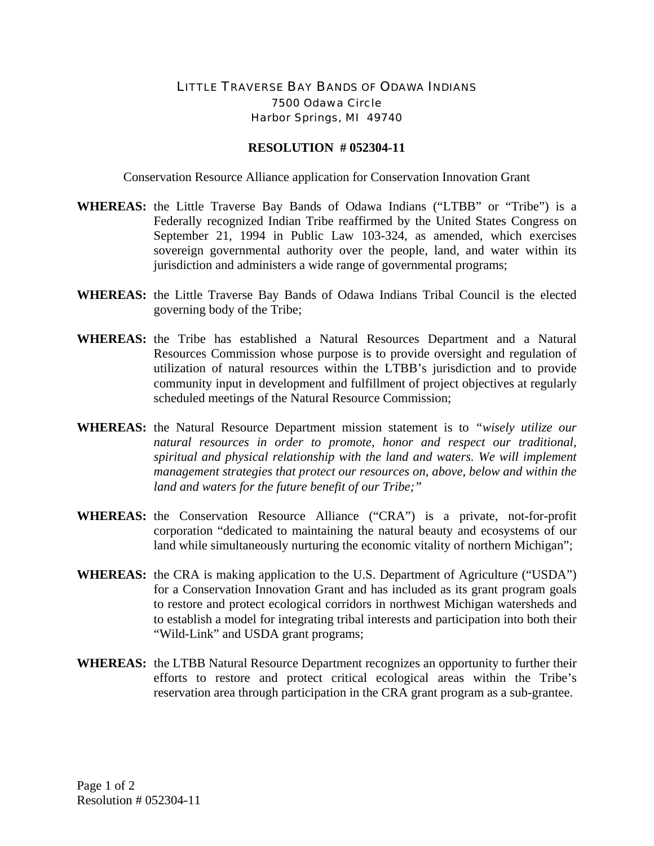## LITTLE TRAVERSE BAY BANDS OF ODAWA INDIANS 7500 Odawa Circle Harbor Springs, MI 49740

## **RESOLUTION # 052304-11**

Conservation Resource Alliance application for Conservation Innovation Grant

- **WHEREAS:** the Little Traverse Bay Bands of Odawa Indians ("LTBB" or "Tribe") is a Federally recognized Indian Tribe reaffirmed by the United States Congress on September 21, 1994 in Public Law 103-324, as amended, which exercises sovereign governmental authority over the people, land, and water within its jurisdiction and administers a wide range of governmental programs;
- **WHEREAS:** the Little Traverse Bay Bands of Odawa Indians Tribal Council is the elected governing body of the Tribe;
- **WHEREAS:** the Tribe has established a Natural Resources Department and a Natural Resources Commission whose purpose is to provide oversight and regulation of utilization of natural resources within the LTBB's jurisdiction and to provide community input in development and fulfillment of project objectives at regularly scheduled meetings of the Natural Resource Commission;
- **WHEREAS:** the Natural Resource Department mission statement is to *"wisely utilize our natural resources in order to promote, honor and respect our traditional, spiritual and physical relationship with the land and waters. We will implement management strategies that protect our resources on, above, below and within the land and waters for the future benefit of our Tribe;"*
- **WHEREAS:** the Conservation Resource Alliance ("CRA") is a private, not-for-profit corporation "dedicated to maintaining the natural beauty and ecosystems of our land while simultaneously nurturing the economic vitality of northern Michigan";
- **WHEREAS:** the CRA is making application to the U.S. Department of Agriculture ("USDA") for a Conservation Innovation Grant and has included as its grant program goals to restore and protect ecological corridors in northwest Michigan watersheds and to establish a model for integrating tribal interests and participation into both their "Wild-Link" and USDA grant programs;
- **WHEREAS:** the LTBB Natural Resource Department recognizes an opportunity to further their efforts to restore and protect critical ecological areas within the Tribe's reservation area through participation in the CRA grant program as a sub-grantee.